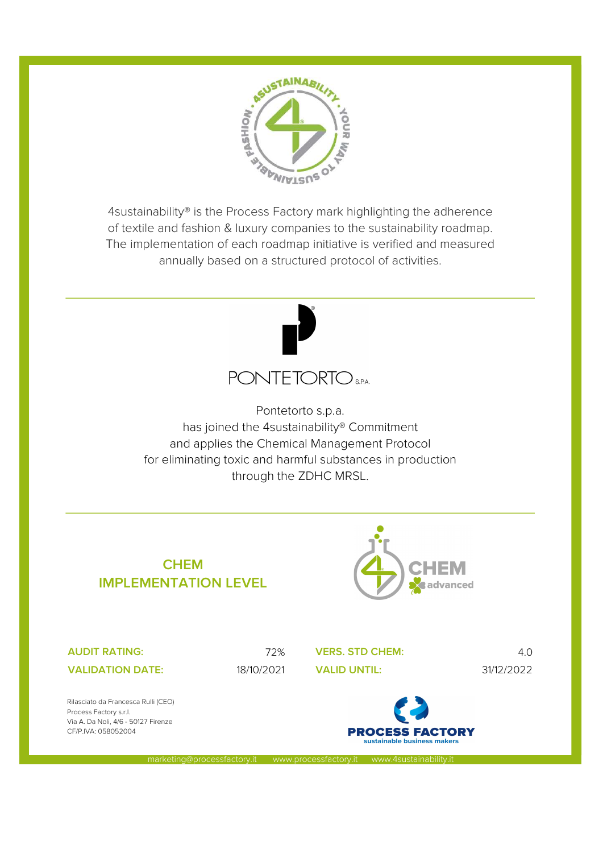

4sustainability® is the Process Factory mark highlighting the adherence of textile and fashion & luxury companies to the sustainability roadmap. The implementation of each roadmap initiative is verified and measured annually based on a structured protocol of activities.

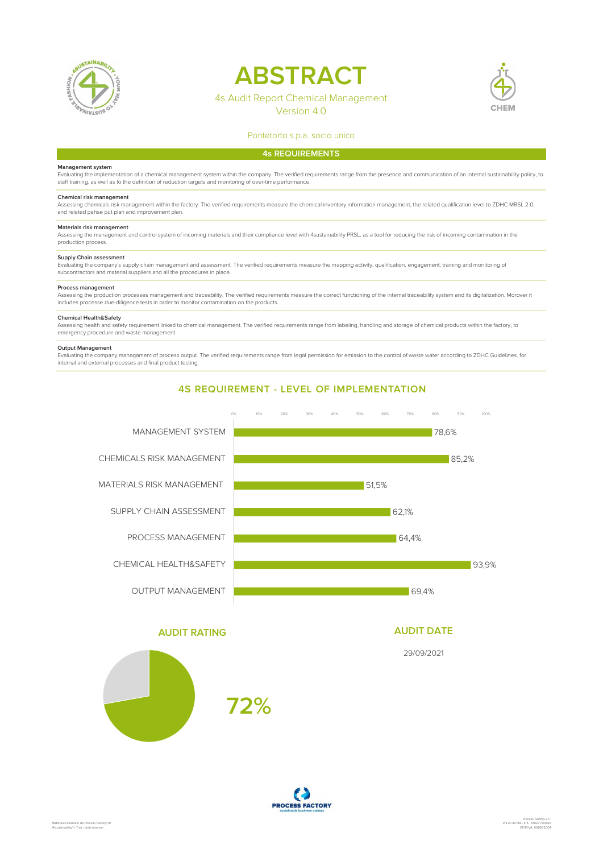

# ABSTRACT

## 4s Audit Report Chemical Management

Version 4.0



### Pontetorto s.p.a. socio unico

#### 4s REQUIREMENTS

#### Management system

Evaluating the implementation of a chemical management system within the company. The verified requirements range from the presence and communication of an internal sustainability policy, to staff training, as well as to the definition of reduction targets and monitoring of over-time performance.

#### Chemical risk management

Assessing chemicals risk management within the factory. The verified requirements measure the chemical inventory information management, the related qualification level to ZDHC MRSL 2.0, and related pahse put plan and improvement plan.

#### Materials risk management

Assessing the management and control system of incoming materials and their compliance level with 4sustainability PRSL, as a tool for reducing the risk of incoming contamination in the production process.

**Supply Chain assessment**<br>Evaluating the company's supply chain management and assessment. The verified requirements measure the mapping activity, qualification, engagement, training and monitoring of subcontractors and material suppliers and all the procedures in place.

#### Process management

Assessing the production processes management and traceability. The verified requirements measure the correct functioning of the internal traceability system and its digitalization. Morover it includes processe due-diligence tests in order to monitor contamination on the products.

#### Chemical Health&Safety

Assessing health and safety requirement linked to chemical management. The verified requirements range from labeling, handling and storage of chemical products within the factory, to<br>emergency procedure and waste managemen

#### Output Management

Evaluating the company managament of process output. The verified requirements range from legal permission for emission to the control of waste water according to ZDHC Guidelines. for internal and external processes and final product testing.



## AUDIT RATING

AUDIT DATE

29/09/2021



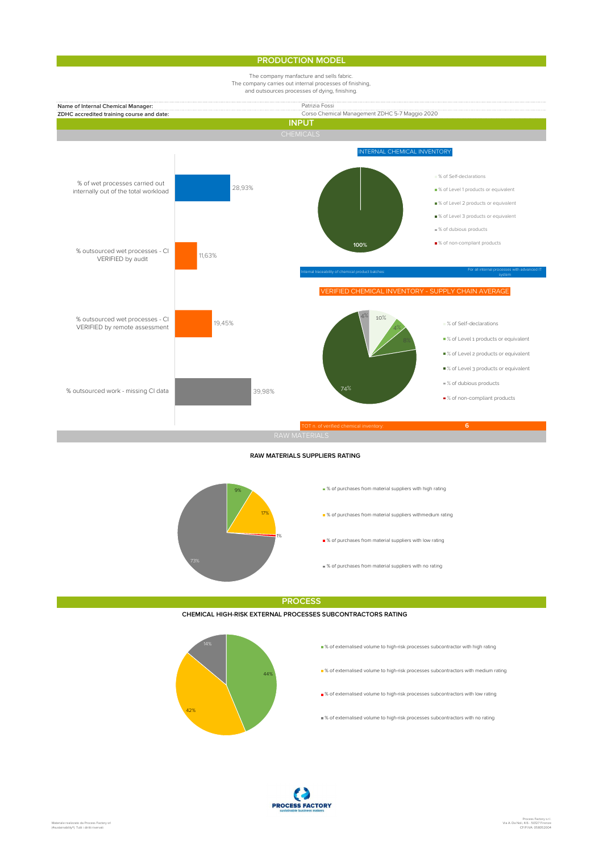#### **PRODUCTION MODEL**



#### RAW MATERIALS SUPPLIERS RATING



**PROCESS** 

#### CHEMICAL HIGH-RISK EXTERNAL PROCESSES SUBCONTRACTORS RATING



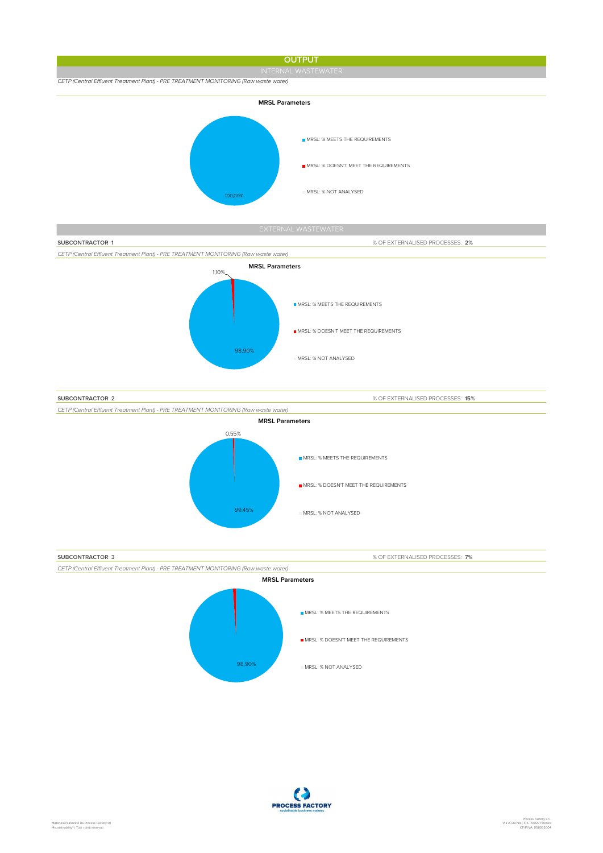